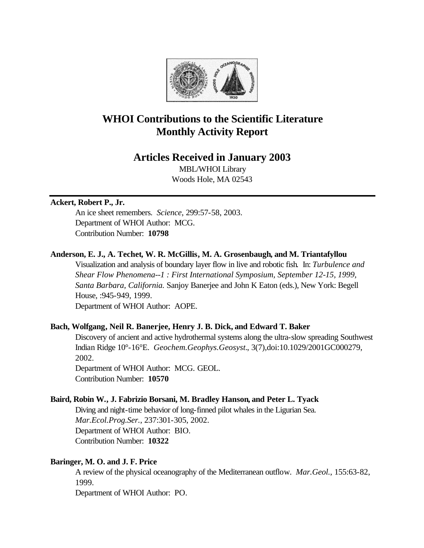

# **WHOI Contributions to the Scientific Literature Monthly Activity Report**

# **Articles Received in January 2003**

MBL/WHOI Library Woods Hole, MA 02543

# **Ackert, Robert P., Jr.**

An ice sheet remembers. *Science*, 299:57-58, 2003. Department of WHOI Author: MCG. Contribution Number: **10798**

# **Anderson, E. J., A. Techet, W. R. McGillis, M. A. Grosenbaugh, and M. Triantafyllou**

Visualization and analysis of boundary layer flow in live and robotic fish. In: *Turbulence and Shear Flow Phenomena--1 : First International Symposium, September 12-15, 1999, Santa Barbara, California.* Sanjoy Banerjee and John K Eaton (eds.), New York: Begell House, :945-949, 1999.

Department of WHOI Author: AOPE.

## **Bach, Wolfgang, Neil R. Banerjee, Henry J. B. Dick, and Edward T. Baker**

Discovery of ancient and active hydrothermal systems along the ultra-slow spreading Southwest Indian Ridge 10°-16°E. *Geochem.Geophys.Geosyst.*, 3(7),doi:10.1029/2001GC000279, 2002.

Department of WHOI Author: MCG. GEOL. Contribution Number: **10570**

## **Baird, Robin W., J. Fabrizio Borsani, M. Bradley Hanson, and Peter L. Tyack**

Diving and night-time behavior of long-finned pilot whales in the Ligurian Sea. *Mar.Ecol.Prog.Ser.*, 237:301-305, 2002. Department of WHOI Author: BIO. Contribution Number: **10322**

## **Baringer, M. O. and J. F. Price**

A review of the physical oceanography of the Mediterranean outflow. *Mar.Geol.*, 155:63-82, 1999.

Department of WHOI Author: PO.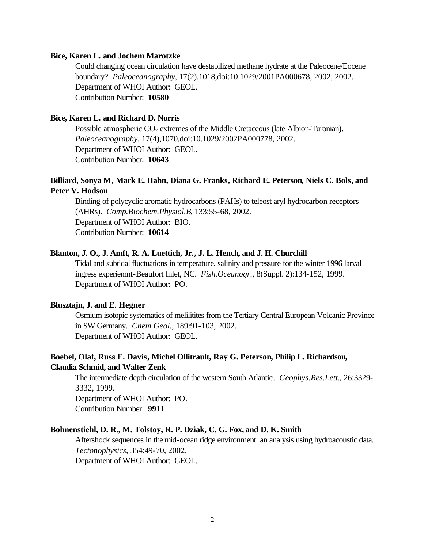#### **Bice, Karen L. and Jochem Marotzke**

Could changing ocean circulation have destabilized methane hydrate at the Paleocene/Eocene boundary? *Paleoceanography*, 17(2),1018,doi:10.1029/2001PA000678, 2002, 2002. Department of WHOI Author: GEOL. Contribution Number: **10580**

## **Bice, Karen L. and Richard D. Norris**

Possible atmospheric  $CO<sub>2</sub>$  extremes of the Middle Cretaceous (late Albion-Turonian). *Paleoceanography*, 17(4),1070,doi:10.1029/2002PA000778, 2002. Department of WHOI Author: GEOL. Contribution Number: **10643**

# **Billiard, Sonya M, Mark E. Hahn, Diana G. Franks, Richard E. Peterson, Niels C. Bols, and Peter V. Hodson**

Binding of polycyclic aromatic hydrocarbons (PAHs) to teleost aryl hydrocarbon receptors (AHRs). *Comp.Biochem.Physiol.B*, 133:55-68, 2002. Department of WHOI Author: BIO. Contribution Number: **10614**

#### **Blanton, J. O., J. Amft, R. A. Luettich, Jr., J. L. Hench, and J. H. Churchill**

Tidal and subtidal fluctuations in temperature, salinity and pressure for the winter 1996 larval ingress experiemnt-Beaufort Inlet, NC. *Fish.Oceanogr.*, 8(Suppl. 2):134-152, 1999. Department of WHOI Author: PO.

## **Blusztajn, J. and E. Hegner**

Osmium isotopic systematics of melilitites from the Tertiary Central European Volcanic Province in SW Germany. *Chem.Geol.*, 189:91-103, 2002. Department of WHOI Author: GEOL.

## **Boebel, Olaf, Russ E. Davis, Michel Ollitrault, Ray G. Peterson, Philip L. Richardson, Claudia Schmid, and Walter Zenk**

The intermediate depth circulation of the western South Atlantic. *Geophys.Res.Lett.*, 26:3329- 3332, 1999. Department of WHOI Author: PO.

Contribution Number: **9911**

#### **Bohnenstiehl, D. R., M. Tolstoy, R. P. Dziak, C. G. Fox, and D. K. Smith**

Aftershock sequences in the mid-ocean ridge environment: an analysis using hydroacoustic data. *Tectonophysics*, 354:49-70, 2002.

Department of WHOI Author: GEOL.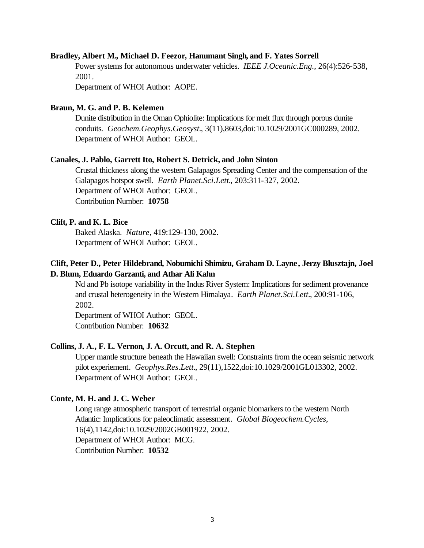#### **Bradley, Albert M., Michael D. Feezor, Hanumant Singh, and F. Yates Sorrell**

Power systems for autonomous underwater vehicles. *IEEE J.Oceanic.Eng.*, 26(4):526-538, 2001.

Department of WHOI Author: AOPE.

#### **Braun, M. G. and P. B. Kelemen**

Dunite distribution in the Oman Ophiolite: Implications for melt flux through porous dunite conduits. *Geochem.Geophys.Geosyst.*, 3(11),8603,doi:10.1029/2001GC000289, 2002. Department of WHOI Author: GEOL.

#### **Canales, J. Pablo, Garrett Ito, Robert S. Detrick, and John Sinton**

Crustal thickness along the western Galapagos Spreading Center and the compensation of the Galapagos hotspot swell. *Earth Planet.Sci.Lett.*, 203:311-327, 2002. Department of WHOI Author: GEOL. Contribution Number: **10758**

#### **Clift, P. and K. L. Bice**

Baked Alaska. *Nature*, 419:129-130, 2002. Department of WHOI Author: GEOL.

## **Clift, Peter D., Peter Hildebrand, Nobumichi Shimizu, Graham D. Layne, Jerzy Blusztajn, Joel D. Blum, Eduardo Garzanti, and Athar Ali Kahn**

Nd and Pb isotope variability in the Indus River System: Implications for sediment provenance and crustal heterogeneity in the Western Himalaya. *Earth Planet.Sci.Lett.*, 200:91-106, 2002.

Department of WHOI Author: GEOL. Contribution Number: **10632**

#### **Collins, J. A., F. L. Vernon, J. A. Orcutt, and R. A. Stephen**

Upper mantle structure beneath the Hawaiian swell: Constraints from the ocean seismic network pilot experiement. *Geophys.Res.Lett.*, 29(11),1522,doi:10.1029/2001GL013302, 2002. Department of WHOI Author: GEOL.

## **Conte, M. H. and J. C. Weber**

Long range atmospheric transport of terrestrial organic biomarkers to the western North Atlantic: Implications for paleoclimatic assessment. *Global Biogeochem.Cycles*, 16(4),1142,doi:10.1029/2002GB001922, 2002. Department of WHOI Author: MCG. Contribution Number: **10532**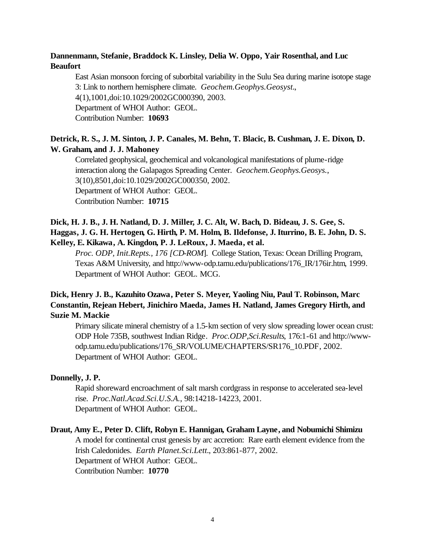# **Dannenmann, Stefanie, Braddock K. Linsley, Delia W. Oppo, Yair Rosenthal, and Luc Beaufort**

East Asian monsoon forcing of suborbital variability in the Sulu Sea during marine isotope stage 3: Link to northern hemisphere climate. *Geochem.Geophys.Geosyst.*, 4(1),1001,doi:10.1029/2002GC000390, 2003. Department of WHOI Author: GEOL. Contribution Number: **10693**

# **Detrick, R. S., J. M. Sinton, J. P. Canales, M. Behn, T. Blacic, B. Cushman, J. E. Dixon, D. W. Graham, and J. J. Mahoney**

Correlated geophysical, geochemical and volcanological manifestations of plume-ridge interaction along the Galapagos Spreading Center. *Geochem.Geophys.Geosys.*, 3(10),8501,doi:10.1029/2002GC000350, 2002. Department of WHOI Author: GEOL. Contribution Number: **10715**

# **Dick, H. J. B., J. H. Natland, D. J. Miller, J. C. Alt, W. Bach, D. Bideau, J. S. Gee, S. Haggas, J. G. H. Hertogen, G. Hirth, P. M. Holm, B. Ildefonse, J. Iturrino, B. E. John, D. S. Kelley, E. Kikawa, A. Kingdon, P. J. LeRoux, J. Maeda, et al.**

*Proc. ODP, Init.Repts., 176 [CD-ROM*]. College Station, Texas: Ocean Drilling Program, Texas A&M University, and http://www-odp.tamu.edu/publications/176\_IR/176ir.htm, 1999. Department of WHOI Author: GEOL. MCG.

# **Dick, Henry J. B., Kazuhito Ozawa, Peter S. Meyer, Yaoling Niu, Paul T. Robinson, Marc Constantin, Rejean Hebert, Jinichiro Maeda, James H. Natland, James Gregory Hirth, and Suzie M. Mackie**

Primary silicate mineral chemistry of a 1.5-km section of very slow spreading lower ocean crust: ODP Hole 735B, southwest Indian Ridge. *Proc.ODP,Sci.Results*, 176:1-61 and http://wwwodp.tamu.edu/publications/176\_SR/VOLUME/CHAPTERS/SR176\_10.PDF, 2002. Department of WHOI Author: GEOL.

## **Donnelly, J. P.**

Rapid shoreward encroachment of salt marsh cordgrass in response to accelerated sea-level rise. *Proc.Natl.Acad.Sci.U.S.A.*, 98:14218-14223, 2001. Department of WHOI Author: GEOL.

# **Draut, Amy E., Peter D. Clift, Robyn E. Hannigan, Graham Layne, and Nobumichi Shimizu**

A model for continental crust genesis by arc accretion: Rare earth element evidence from the Irish Caledonides. *Earth Planet.Sci.Lett.*, 203:861-877, 2002. Department of WHOI Author: GEOL. Contribution Number: **10770**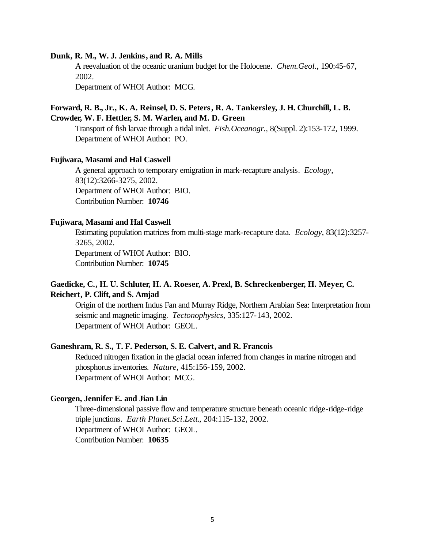#### **Dunk, R. M., W. J. Jenkins, and R. A. Mills**

A reevaluation of the oceanic uranium budget for the Holocene. *Chem.Geol.*, 190:45-67, 2002.

Department of WHOI Author: MCG.

## **Forward, R. B., Jr., K. A. Reinsel, D. S. Peters, R. A. Tankersley, J. H. Churchill, L. B. Crowder, W. F. Hettler, S. M. Warlen, and M. D. Green**

Transport of fish larvae through a tidal inlet. *Fish.Oceanogr.*, 8(Suppl. 2):153-172, 1999. Department of WHOI Author: PO.

#### **Fujiwara, Masami and Hal Caswell**

A general approach to temporary emigration in mark-recapture analysis. *Ecology*, 83(12):3266-3275, 2002. Department of WHOI Author: BIO. Contribution Number: **10746**

#### **Fujiwara, Masami and Hal Caswell**

Estimating population matrices from multi-stage mark-recapture data. *Ecology*, 83(12):3257- 3265, 2002. Department of WHOI Author: BIO. Contribution Number: **10745**

## **Gaedicke, C., H. U. Schluter, H. A. Roeser, A. Prexl, B. Schreckenberger, H. Meyer, C. Reichert, P. Clift, and S. Amjad**

Origin of the northern Indus Fan and Murray Ridge, Northern Arabian Sea: Interpretation from seismic and magnetic imaging. *Tectonophysics*, 335:127-143, 2002. Department of WHOI Author: GEOL.

#### **Ganeshram, R. S., T. F. Pederson, S. E. Calvert, and R. Francois**

Reduced nitrogen fixation in the glacial ocean inferred from changes in marine nitrogen and phosphorus inventories. *Nature*, 415:156-159, 2002. Department of WHOI Author: MCG.

#### **Georgen, Jennifer E. and Jian Lin**

Three-dimensional passive flow and temperature structure beneath oceanic ridge-ridge-ridge triple junctions. *Earth Planet.Sci.Lett.*, 204:115-132, 2002. Department of WHOI Author: GEOL. Contribution Number: **10635**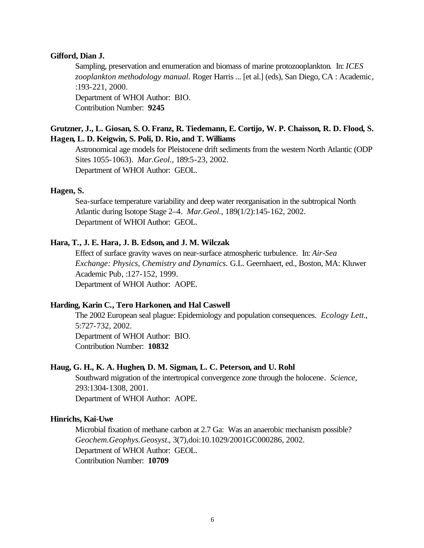#### **Gifford, Dian J.**

Sampling, preservation and enumeration and biomass of marine protozooplankton. In: *ICES zooplankton methodology manual.* Roger Harris ... [et al.] (eds), San Diego, CA : Academic, :193-221, 2000. Department of WHOI Author: BIO. Contribution Number: **9245**

## **Grutzner, J., L. Giosan, S. O. Franz, R. Tiedemann, E. Cortijo, W. P. Chaisson, R. D. Flood, S. Hagen, L. D. Keigwin, S. Poli, D. Rio, and T. Williams**

Astronomical age models for Pleistocene drift sediments from the western North Atlantic (ODP Sites 1055-1063). *Mar.Geol.*, 189:5-23, 2002. Department of WHOI Author: GEOL.

#### **Hagen, S.**

Sea-surface temperature variability and deep water reorganisation in the subtropical North Atlantic during Isotope Stage 2–4. *Mar.Geol.*, 189(1/2):145-162, 2002. Department of WHOI Author: GEOL.

#### **Hara, T., J. E. Hara, J. B. Edson, and J. M. Wilczak**

Effect of surface gravity waves on near-surface atmospheric turbulence. In: *Air-Sea Exchange: Physics, Chemistry and Dynamics.* G.L. Geernhaert, ed., Boston, MA: Kluwer Academic Pub, :127-152, 1999. Department of WHOI Author: AOPE.

#### **Harding, Karin C., Tero Harkonen, and Hal Caswell**

The 2002 European seal plague: Epidemiology and population consequences. *Ecology Lett.*, 5:727-732, 2002. Department of WHOI Author: BIO. Contribution Number: **10832**

#### **Haug, G. H., K. A. Hughen, D. M. Sigman, L. C. Peterson, and U. Rohl**

Southward migration of the intertropical convergence zone through the holocene. *Science*, 293:1304-1308, 2001. Department of WHOI Author: AOPE.

#### **Hinrichs, Kai-Uwe**

Microbial fixation of methane carbon at 2.7 Ga: Was an anaerobic mechanism possible? *Geochem.Geophys.Geosyst.*, 3(7),doi:10.1029/2001GC000286, 2002. Department of WHOI Author: GEOL. Contribution Number: **10709**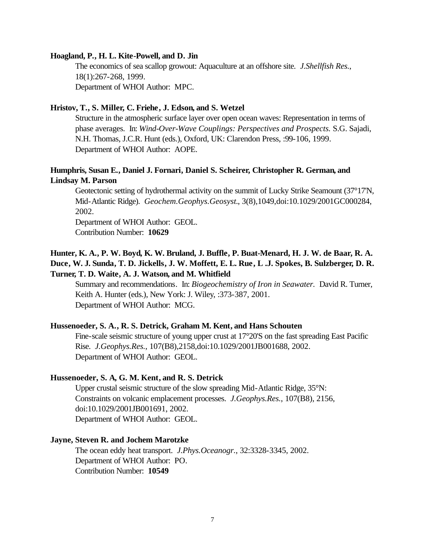#### **Hoagland, P., H. L. Kite-Powell, and D. Jin**

The economics of sea scallop growout: Aquaculture at an offshore site. *J.Shellfish Res.*, 18(1):267-268, 1999. Department of WHOI Author: MPC.

## **Hristov, T., S. Miller, C. Friehe, J. Edson, and S. Wetzel**

Structure in the atmospheric surface layer over open ocean waves: Representation in terms of phase averages. In: *Wind-Over-Wave Couplings: Perspectives and Prospects.* S.G. Sajadi, N.H. Thomas, J.C.R. Hunt (eds.), Oxford, UK: Clarendon Press, :99-106, 1999. Department of WHOI Author: AOPE.

## **Humphris, Susan E., Daniel J. Fornari, Daniel S. Scheirer, Christopher R. German, and Lindsay M. Parson**

Geotectonic setting of hydrothermal activity on the summit of Lucky Strike Seamount (37°17'N, Mid-Atlantic Ridge). *Geochem.Geophys.Geosyst.*, 3(8),1049,doi:10.1029/2001GC000284, 2002.

Department of WHOI Author: GEOL. Contribution Number: **10629**

# **Hunter, K. A., P. W. Boyd, K. W. Bruland, J. Buffle, P. Buat-Menard, H. J. W. de Baar, R. A. Duce, W. J. Sunda, T. D. Jickells, J. W. Moffett, E. L. Rue, L .J. Spokes, B. Sulzberger, D. R. Turner, T. D. Waite, A. J. Watson, and M. Whitfield**

Summary and recommendations. In: *Biogeochemistry of Iron in Seawater.* David R. Turner, Keith A. Hunter (eds.), New York: J. Wiley, :373-387, 2001. Department of WHOI Author: MCG.

#### **Hussenoeder, S. A., R. S. Detrick, Graham M. Kent, and Hans Schouten**

Fine-scale seismic structure of young upper crust at 17°20'S on the fast spreading East Pacific Rise. *J.Geophys.Res.*, 107(B8),2158,doi:10.1029/2001JB001688, 2002. Department of WHOI Author: GEOL.

#### **Hussenoeder, S. A, G. M. Kent, and R. S. Detrick**

Upper crustal seismic structure of the slow spreading Mid-Atlantic Ridge, 35°N: Constraints on volcanic emplacement processes. *J.Geophys.Res.*, 107(B8), 2156, doi:10.1029/2001JB001691, 2002. Department of WHOI Author: GEOL.

#### **Jayne, Steven R. and Jochem Marotzke**

The ocean eddy heat transport. *J.Phys.Oceanogr.*, 32:3328-3345, 2002. Department of WHOI Author: PO. Contribution Number: **10549**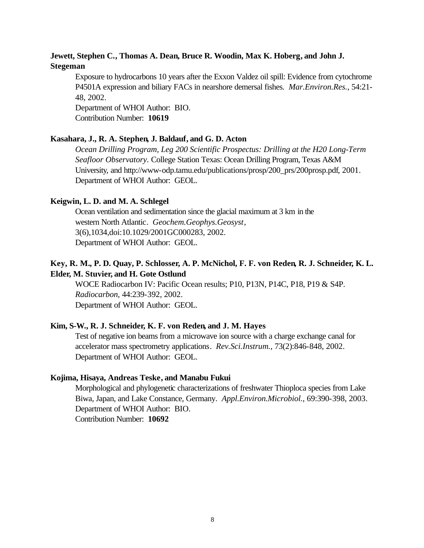# **Jewett, Stephen C., Thomas A. Dean, Bruce R. Woodin, Max K. Hoberg, and John J. Stegeman**

Exposure to hydrocarbons 10 years after the Exxon Valdez oil spill: Evidence from cytochrome P4501A expression and biliary FACs in nearshore demersal fishes. *Mar.Environ.Res.*, 54:21- 48, 2002.

Department of WHOI Author: BIO. Contribution Number: **10619**

**Kasahara, J., R. A. Stephen, J. Baldauf, and G. D. Acton**

*Ocean Drilling Program, Leg 200 Scientific Prospectus: Drilling at the H20 Long-Term Seafloor Observatory.* College Station Texas: Ocean Drilling Program, Texas A&M University, and http://www-odp.tamu.edu/publications/prosp/200\_prs/200prosp.pdf, 2001. Department of WHOI Author: GEOL.

## **Keigwin, L. D. and M. A. Schlegel**

Ocean ventilation and sedimentation since the glacial maximum at 3 km in the western North Atlantic. *Geochem.Geophys.Geosyst*, 3(6),1034,doi:10.1029/2001GC000283, 2002. Department of WHOI Author: GEOL.

# **Key, R. M., P. D. Quay, P. Schlosser, A. P. McNichol, F. F. von Reden, R. J. Schneider, K. L. Elder, M. Stuvier, and H. Gote Ostlund**

WOCE Radiocarbon IV: Pacific Ocean results; P10, P13N, P14C, P18, P19 & S4P. *Radiocarbon*, 44:239-392, 2002. Department of WHOI Author: GEOL.

## **Kim, S-W., R. J. Schneider, K. F. von Reden, and J. M. Hayes**

Test of negative ion beams from a microwave ion source with a charge exchange canal for accelerator mass spectrometry applications. *Rev.Sci.Instrum.*, 73(2):846-848, 2002. Department of WHOI Author: GEOL.

#### **Kojima, Hisaya, Andreas Teske, and Manabu Fukui**

Morphological and phylogenetic characterizations of freshwater Thioploca species from Lake Biwa, Japan, and Lake Constance, Germany. *Appl.Environ.Microbiol.*, 69:390-398, 2003. Department of WHOI Author: BIO. Contribution Number: **10692**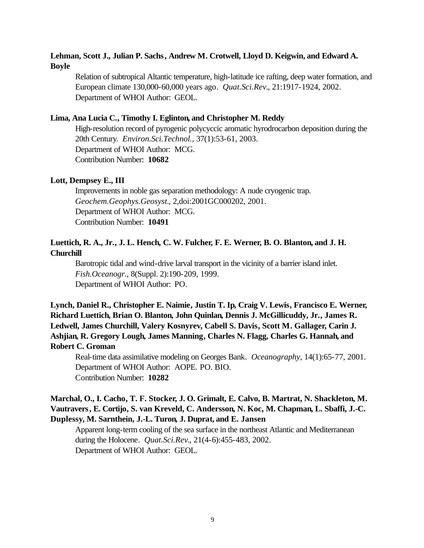# **Lehman, Scott J., Julian P. Sachs, Andrew M. Crotwell, Lloyd D. Keigwin, and Edward A. Boyle**

Relation of subtropical Altantic temperature, high-latitude ice rafting, deep water formation, and European climate 130,000-60,000 years ago. *Quat.Sci.Rev.*, 21:1917-1924, 2002. Department of WHOI Author: GEOL.

## **Lima, Ana Lucia C., Timothy I. Eglinton, and Christopher M. Reddy**

High-resolution record of pyrogenic polycyccic aromatic hyrodrocarbon deposition during the 20th Century. *Environ.Sci.Technol.*, 37(1):53-61, 2003. Department of WHOI Author: MCG. Contribution Number: **10682**

## **Lott, Dempsey E., III**

Improvements in noble gas separation methodology: A nude cryogenic trap. *Geochem.Geophys.Geosyst.*, 2,doi:2001GC000202, 2001. Department of WHOI Author: MCG. Contribution Number: **10491**

## **Luettich, R. A., Jr., J. L. Hench, C. W. Fulcher, F. E. Werner, B. O. Blanton, and J. H. Churchill**

Barotropic tidal and wind-drive larval transport in the vicinity of a barrier island inlet. *Fish.Oceanogr.*, 8(Suppl. 2):190-209, 1999. Department of WHOI Author: PO.

**Lynch, Daniel R., Christopher E. Naimie, Justin T. Ip, Craig V. Lewis, Francisco E. Werner, Richard Luettich, Brian O. Blanton, John Quinlan, Dennis J. McGillicuddy, Jr., James R. Ledwell, James Churchill, Valery Kosnyrev, Cabell S. Davis, Scott M. Gallager, Carin J. Ashjian, R. Gregory Lough, James Manning, Charles N. Flagg, Charles G. Hannah, and Robert C. Groman**

Real-time data assimilative modeling on Georges Bank. *Oceanography*, 14(1):65-77, 2001. Department of WHOI Author: AOPE. PO. BIO. Contribution Number: **10282**

# **Marchal, O., I. Cacho, T. F. Stocker, J. O. Grimalt, E. Calvo, B. Martrat, N. Shackleton, M. Vautravers, E. Cortijo, S. van Kreveld, C. Andersson, N. Koc, M. Chapman, L. Sbaffi, J.-C. Duplessy, M. Sarnthein, J.-L. Turon, J. Duprat, and E. Jansen**

Apparent long-term cooling of the sea surface in the northeast Atlantic and Mediterranean during the Holocene. *Quat.Sci.Rev.*, 21(4-6):455-483, 2002. Department of WHOI Author: GEOL.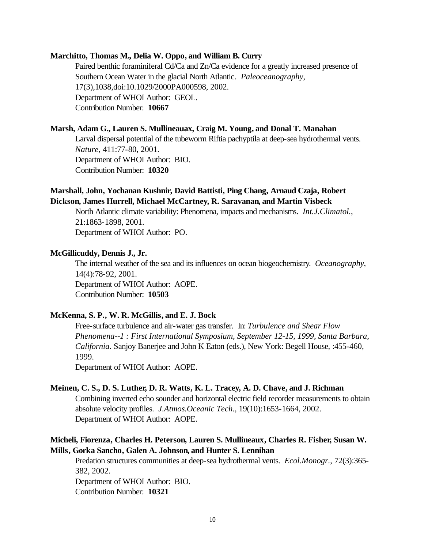#### **Marchitto, Thomas M., Delia W. Oppo, and William B. Curry**

Paired benthic foraminiferal Cd/Ca and Zn/Ca evidence for a greatly increased presence of Southern Ocean Water in the glacial North Atlantic. *Paleoceanography*, 17(3),1038,doi:10.1029/2000PA000598, 2002. Department of WHOI Author: GEOL. Contribution Number: **10667**

## **Marsh, Adam G., Lauren S. Mullineauax, Craig M. Young, and Donal T. Manahan**

Larval dispersal potential of the tubeworm Riftia pachyptila at deep-sea hydrothermal vents. *Nature*, 411:77-80, 2001. Department of WHOI Author: BIO. Contribution Number: **10320**

# **Marshall, John, Yochanan Kushnir, David Battisti, Ping Chang, Arnaud Czaja, Robert Dickson, James Hurrell, Michael McCartney, R. Saravanan, and Martin Visbeck**

North Atlantic climate variability: Phenomena, impacts and mechanisms. *Int.J.Climatol.*, 21:1863-1898, 2001. Department of WHOI Author: PO.

#### **McGillicuddy, Dennis J., Jr.**

The internal weather of the sea and its influences on ocean biogeochemistry. *Oceanography*, 14(4):78-92, 2001. Department of WHOI Author: AOPE. Contribution Number: **10503**

## **McKenna, S. P., W. R. McGillis, and E. J. Bock**

Free-surface turbulence and air-water gas transfer. In: *Turbulence and Shear Flow Phenomena--1 : First International Symposium, September 12-15, 1999, Santa Barbara, California*. Sanjoy Banerjee and John K Eaton (eds.), New York: Begell House, :455-460, 1999.

Department of WHOI Author: AOPE.

## **Meinen, C. S., D. S. Luther, D. R. Watts, K. L. Tracey, A. D. Chave, and J. Richman**

Combining inverted echo sounder and horizontal electric field recorder measurements to obtain absolute velocity profiles. *J.Atmos.Oceanic Tech.*, 19(10):1653-1664, 2002. Department of WHOI Author: AOPE.

# **Micheli, Fiorenza, Charles H. Peterson, Lauren S. Mullineaux, Charles R. Fisher, Susan W. Mills, Gorka Sancho, Galen A. Johnson, and Hunter S. Lennihan**

Predation structures communities at deep-sea hydrothermal vents. *Ecol.Monogr.*, 72(3):365- 382, 2002.

Department of WHOI Author: BIO. Contribution Number: **10321**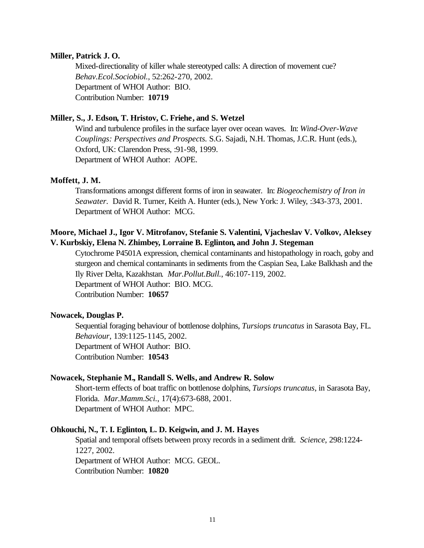#### **Miller, Patrick J. O.**

Mixed-directionality of killer whale stereotyped calls: A direction of movement cue? *Behav.Ecol.Sociobiol.*, 52:262-270, 2002. Department of WHOI Author: BIO. Contribution Number: **10719**

## **Miller, S., J. Edson, T. Hristov, C. Friehe, and S. Wetzel**

Wind and turbulence profiles in the surface layer over ocean waves. In: *Wind-Over-Wave Couplings: Perspectives and Prospects.* S.G. Sajadi, N.H. Thomas, J.C.R. Hunt (eds.), Oxford, UK: Clarendon Press, :91-98, 1999. Department of WHOI Author: AOPE.

#### **Moffett, J. M.**

Transformations amongst different forms of iron in seawater. In: *Biogeochemistry of Iron in Seawater.* David R. Turner, Keith A. Hunter (eds.), New York: J. Wiley, :343-373, 2001. Department of WHOI Author: MCG.

# **Moore, Michael J., Igor V. Mitrofanov, Stefanie S. Valentini, Vjacheslav V. Volkov, Aleksey V. Kurbskiy, Elena N. Zhimbey, Lorraine B. Eglinton, and John J. Stegeman**

Cytochrome P4501A expression, chemical contaminants and histopathology in roach, goby and sturgeon and chemical contaminants in sediments from the Caspian Sea, Lake Balkhash and the Ily River Delta, Kazakhstan. *Mar.Pollut.Bull.*, 46:107-119, 2002. Department of WHOI Author: BIO. MCG.

Contribution Number: **10657**

## **Nowacek, Douglas P.**

Sequential foraging behaviour of bottlenose dolphins, *Tursiops truncatus* in Sarasota Bay, FL. *Behaviour*, 139:1125-1145, 2002. Department of WHOI Author: BIO. Contribution Number: **10543**

#### **Nowacek, Stephanie M., Randall S. Wells, and Andrew R. Solow**

Short-term effects of boat traffic on bottlenose dolphins, *Tursiops truncatus*, in Sarasota Bay, Florida. *Mar.Mamm.Sci.*, 17(4):673-688, 2001. Department of WHOI Author: MPC.

## **Ohkouchi, N., T. I. Eglinton, L. D. Keigwin, and J. M. Hayes**

Spatial and temporal offsets between proxy records in a sediment drift. *Science*, 298:1224- 1227, 2002. Department of WHOI Author: MCG. GEOL. Contribution Number: **10820**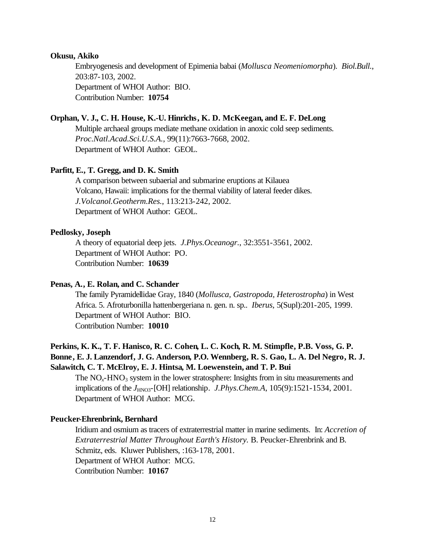#### **Okusu, Akiko**

Embryogenesis and development of Epimenia babai (*Mollusca Neomeniomorpha*). *Biol.Bull.*, 203:87-103, 2002. Department of WHOI Author: BIO. Contribution Number: **10754**

#### **Orphan, V. J., C. H. House, K.-U. Hinrichs, K. D. McKeegan, and E. F. DeLong**

Multiple archaeal groups mediate methane oxidation in anoxic cold seep sediments. *Proc.Natl.Acad.Sci.U.S.A.*, 99(11):7663-7668, 2002. Department of WHOI Author: GEOL.

#### **Parfitt, E., T. Gregg, and D. K. Smith**

A comparison between subaerial and submarine eruptions at Kilauea Volcano, Hawaii: implications for the thermal viability of lateral feeder dikes. *J.Volcanol.Geotherm.Res.*, 113:213-242, 2002. Department of WHOI Author: GEOL.

#### **Pedlosky, Joseph**

A theory of equatorial deep jets. *J.Phys.Oceanogr.*, 32:3551-3561, 2002. Department of WHOI Author: PO. Contribution Number: **10639**

#### **Penas, A., E. Rolan, and C. Schander**

The family Pyramidellidae Gray, 1840 (*Mollusca, Gastropoda, Heterostropha*) in West Africa. 5. Afroturbonilla hattenbergeriana n. gen. n. sp.. *Iberus*, 5(Supl):201-205, 1999. Department of WHOI Author: BIO. Contribution Number: **10010**

# **Perkins, K. K., T. F. Hanisco, R. C. Cohen, L. C. Koch, R. M. Stimpfle, P.B. Voss, G. P. Bonne, E. J. Lanzendorf, J. G. Anderson, P.O. Wennberg, R. S. Gao, L. A. Del Negro, R. J. Salawitch, C. T. McElroy, E. J. Hintsa, M. Loewenstein, and T. P. Bui**

The NO<sub>x</sub>-HNO<sub>3</sub> system in the lower stratosphere: Insights from in situ measurements and implications of the *J*<sub>HNO3</sub>-[OH] relationship. *J.Phys.Chem.A*, 105(9):1521-1534, 2001. Department of WHOI Author: MCG.

#### **Peucker-Ehrenbrink, Bernhard**

Iridium and osmium as tracers of extraterrestrial matter in marine sediments. In: *Accretion of Extraterrestrial Matter Throughout Earth's History.* B. Peucker-Ehrenbrink and B. Schmitz, eds. Kluwer Publishers, :163-178, 2001. Department of WHOI Author: MCG. Contribution Number: **10167**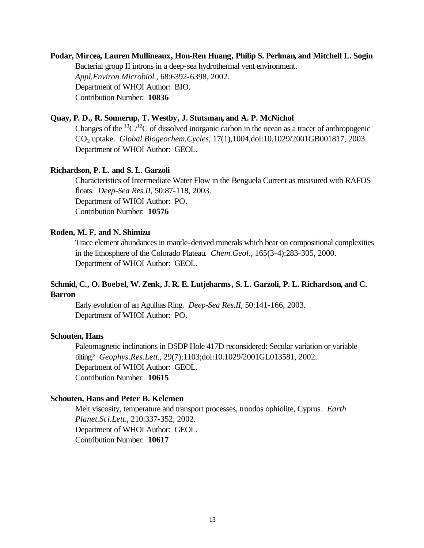# **Podar, Mircea, Lauren Mullineaux, Hon-Ren Huang, Philip S. Perlman, and Mitchell L. Sogin** Bacterial group II introns in a deep-sea hydrothermal vent environment. *Appl.Environ.Microbiol.*, 68:6392-6398, 2002. Department of WHOI Author: BIO. Contribution Number: **10836**

## **Quay, P. D., R. Sonnerup, T. Westby, J. Stutsman, and A. P. McNichol**

Changes of the  ${}^{13}C/{}^{12}C$  of dissolved inorganic carbon in the ocean as a tracer of anthropogenic CO2 uptake. *Global Biogeochem.Cycles*, 17(1),1004,doi:10.1029/2001GB001817, 2003. Department of WHOI Author: GEOL.

#### **Richardson, P. L. and S. L. Garzoli**

Characteristics of Intermediate Water Flow in the Benguela Current as measured with RAFOS floats. *Deep-Sea Res.II*, 50:87-118, 2003. Department of WHOI Author: PO. Contribution Number: **10576**

#### **Roden, M. F. and N. Shimizu**

Trace element abundances in mantle-derived minerals which bear on compositional complexities in the lithosphere of the Colorado Plateau. *Chem.Geol.*, 165(3-4):283-305, 2000. Department of WHOI Author: GEOL.

## **Schmid, C., O. Boebel, W. Zenk, J. R. E. Lutjeharms, S. L. Garzoli, P. L. Richardson, and C. Barron**

Early evolution of an Agulhas Ring. *Deep-Sea Res.II*, 50:141-166, 2003. Department of WHOI Author: PO.

#### **Schouten, Hans**

Paleomagnetic inclinations in DSDP Hole 417D reconsidered: Secular variation or variable tilting? *Geophys.Res.Lett.*, 29(7);1103;doi:10.1029/2001GL013581, 2002. Department of WHOI Author: GEOL. Contribution Number: **10615**

#### **Schouten, Hans and Peter B. Kelemen**

Melt viscosity, temperature and transport processes, troodos ophiolite, Cyprus. *Earth Planet.Sci.Lett.*, 210:337-352, 2002. Department of WHOI Author: GEOL. Contribution Number: **10617**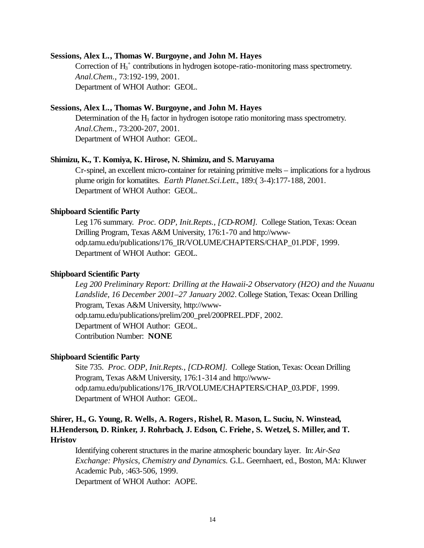#### **Sessions, Alex L., Thomas W. Burgoyne, and John M. Hayes**

Correction of H<sub>3</sub><sup>+</sup> contributions in hydrogen isotope-ratio-monitoring mass spectrometry. *Anal.Chem.*, 73:192-199, 2001. Department of WHOI Author: GEOL.

#### **Sessions, Alex L., Thomas W. Burgoyne, and John M. Hayes**

Determination of the  $H_3$  factor in hydrogen isotope ratio monitoring mass spectrometry. *Anal.Chem.*, 73:200-207, 2001. Department of WHOI Author: GEOL.

#### **Shimizu, K., T. Komiya, K. Hirose, N. Shimizu, and S. Maruyama**

Cr-spinel, an excellent micro-container for retaining primitive melts – implications for a hydrous plume origin for komatiites. *Earth Planet.Sci.Lett.*, 189:( 3-4):177-188, 2001. Department of WHOI Author: GEOL.

#### **Shipboard Scientific Party**

Leg 176 summary. *Proc. ODP, Init.Repts., [CD-ROM].* College Station, Texas: Ocean Drilling Program, Texas A&M University, 176:1-70 and http://wwwodp.tamu.edu/publications/176\_IR/VOLUME/CHAPTERS/CHAP\_01.PDF, 1999. Department of WHOI Author: GEOL.

## **Shipboard Scientific Party**

*Leg 200 Preliminary Report: Drilling at the Hawaii-2 Observatory (H2O) and the Nuuanu Landslide, 16 December 2001–27 January 2002*. College Station, Texas: Ocean Drilling Program, Texas A&M University, http://wwwodp.tamu.edu/publications/prelim/200\_prel/200PREL.PDF, 2002. Department of WHOI Author: GEOL. Contribution Number: **NONE**

#### **Shipboard Scientific Party**

Site 735. *Proc. ODP, Init.Repts., [CD-ROM].* College Station, Texas: Ocean Drilling Program, Texas A&M University, 176:1-314 and http://wwwodp.tamu.edu/publications/176\_IR/VOLUME/CHAPTERS/CHAP\_03.PDF, 1999. Department of WHOI Author: GEOL.

# **Shirer, H., G. Young, R. Wells, A. Rogers, Rishel, R. Mason, L. Suciu, N. Winstead, H.Henderson, D. Rinker, J. Rohrbach, J. Edson, C. Friehe, S. Wetzel, S. Miller, and T. Hristov**

Identifying coherent structures in the marine atmospheric boundary layer. In: *Air-Sea Exchange: Physics, Chemistry and Dynamics.* G.L. Geernhaert, ed., Boston, MA: Kluwer Academic Pub, :463-506, 1999. Department of WHOI Author: AOPE.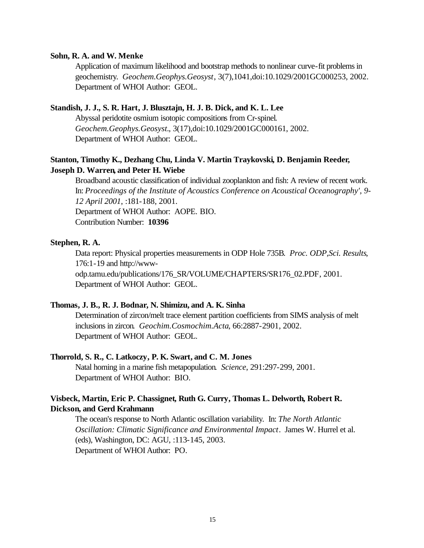#### **Sohn, R. A. and W. Menke**

Application of maximum likelihood and bootstrap methods to nonlinear curve-fit problems in geochemistry. *Geochem.Geophys.Geosyst*, 3(7),1041,doi:10.1029/2001GC000253, 2002. Department of WHOI Author: GEOL.

## **Standish, J. J., S. R. Hart, J. Blusztajn, H. J. B. Dick, and K. L. Lee**

Abyssal peridotite osmium isotopic compositions from Cr-spinel. *Geochem.Geophys.Geosyst.*, 3(17),doi:10.1029/2001GC000161, 2002. Department of WHOI Author: GEOL.

# **Stanton, Timothy K., Dezhang Chu, Linda V. Martin Traykovski, D. Benjamin Reeder, Joseph D. Warren, and Peter H. Wiebe**

Broadband acoustic classification of individual zooplankton and fish: A review of recent work. In: *Proceedings of the Institute of Acoustics Conference on Acoustical Oceanography', 9- 12 April 2001*, :181-188, 2001.

Department of WHOI Author: AOPE. BIO.

Contribution Number: **10396**

## **Stephen, R. A.**

Data report: Physical properties measurements in ODP Hole 735B. *Proc. ODP,Sci. Results*, 176:1-19 and http://wwwodp.tamu.edu/publications/176\_SR/VOLUME/CHAPTERS/SR176\_02.PDF, 2001.

Department of WHOI Author: GEOL.

#### **Thomas, J. B., R. J. Bodnar, N. Shimizu, and A. K. Sinha**

Determination of zircon/melt trace element partition coefficients from SIMS analysis of melt inclusions in zircon. *Geochim.Cosmochim.Acta*, 66:2887-2901, 2002. Department of WHOI Author: GEOL.

#### **Thorrold, S. R., C. Latkoczy, P. K. Swart, and C. M. Jones**

Natal homing in a marine fish metapopulation. *Science*, 291:297-299, 2001. Department of WHOI Author: BIO.

## **Visbeck, Martin, Eric P. Chassignet, Ruth G. Curry, Thomas L. Delworth, Robert R. Dickson, and Gerd Krahmann**

The ocean's response to North Atlantic oscillation variability. In: *The North Atlantic Oscillation: Climatic Significance and Environmental Impact*. James W. Hurrel et al. (eds), Washington, DC: AGU, :113-145, 2003. Department of WHOI Author: PO.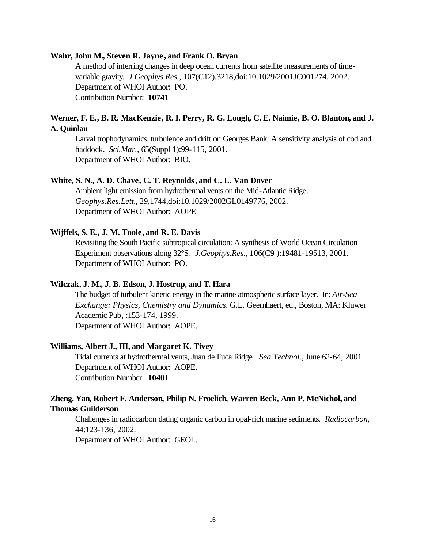#### **Wahr, John M., Steven R. Jayne , and Frank O. Bryan**

A method of inferring changes in deep ocean currents from satellite measurements of timevariable gravity. *J.Geophys.Res.*, 107(C12),3218,doi:10.1029/2001JC001274, 2002. Department of WHOI Author: PO. Contribution Number: **10741**

# **Werner, F. E., B. R. MacKenzie, R. I. Perry, R. G. Lough, C. E. Naimie, B. O. Blanton, and J. A. Quinlan**

Larval trophodynamics, turbulence and drift on Georges Bank: A sensitivity analysis of cod and haddock. *Sci.Mar.*, 65(Suppl 1):99-115, 2001. Department of WHOI Author: BIO.

## **White, S. N., A. D. Chave, C. T. Reynolds, and C. L. Van Dover**

Ambient light emission from hydrothermal vents on the Mid-Atlantic Ridge. *Geophys.Res.Lett.*, 29,1744,doi:10.1029/2002GL0149776, 2002. Department of WHOI Author: AOPE

#### **Wijffels, S. E., J. M. Toole, and R. E. Davis**

Revisiting the South Pacific subtropical circulation: A synthesis of World Ocean Circulation Experiment observations along 32°S. *J.Geophys.Res.*, 106(C9 ):19481-19513, 2001. Department of WHOI Author: PO.

## **Wilczak, J. M., J. B. Edson, J. Hostrup, and T. Hara**

The budget of turbulent kinetic energy in the marine atmospheric surface layer. In: *Air-Sea Exchange: Physics, Chemistry and Dynamics*. G.L. Geernhaert, ed., Boston, MA: Kluwer Academic Pub, :153-174, 1999. Department of WHOI Author: AOPE.

#### **Williams, Albert J., III, and Margaret K. Tivey**

Tidal currents at hydrothermal vents, Juan de Fuca Ridge. *Sea Technol.*, June:62-64, 2001. Department of WHOI Author: AOPE. Contribution Number: **10401**

## **Zheng, Yan, Robert F. Anderson, Philip N. Froelich, Warren Beck, Ann P. McNichol, and Thomas Guilderson**

Challenges in radiocarbon dating organic carbon in opal-rich marine sediments. *Radiocarbon*, 44:123-136, 2002.

Department of WHOI Author: GEOL.